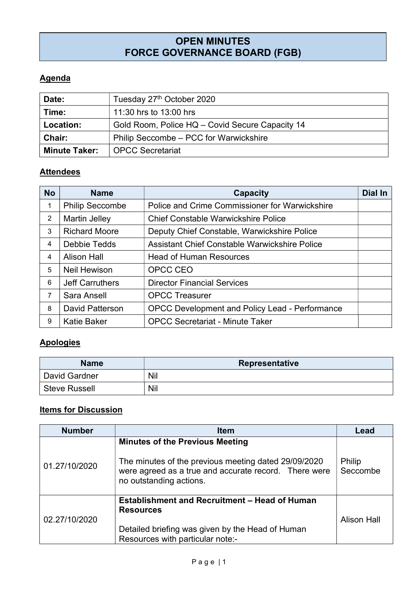# OPEN MINUTES FORCE GOVERNANCE BOARD (FGB)

## **Agenda**

| Date:                | Tuesday 27th October 2020                       |
|----------------------|-------------------------------------------------|
| Time:                | 11:30 hrs to 13:00 hrs                          |
| Location:            | Gold Room, Police HQ - Covid Secure Capacity 14 |
| <b>Chair:</b>        | Philip Seccombe – PCC for Warwickshire          |
| <b>Minute Taker:</b> | <b>OPCC Secretariat</b>                         |

#### **Attendees**

| <b>No</b> | <b>Name</b>            | Capacity                                       | Dial In |
|-----------|------------------------|------------------------------------------------|---------|
| 1         | <b>Philip Seccombe</b> | Police and Crime Commissioner for Warwickshire |         |
| 2         | <b>Martin Jelley</b>   | <b>Chief Constable Warwickshire Police</b>     |         |
| 3         | <b>Richard Moore</b>   | Deputy Chief Constable, Warwickshire Police    |         |
| 4         | <b>Debbie Tedds</b>    | Assistant Chief Constable Warwickshire Police  |         |
| 4         | <b>Alison Hall</b>     | <b>Head of Human Resources</b>                 |         |
| 5         | <b>Neil Hewison</b>    | OPCC CEO                                       |         |
| 6         | <b>Jeff Carruthers</b> | <b>Director Financial Services</b>             |         |
| 7         | Sara Ansell            | <b>OPCC Treasurer</b>                          |         |
| 8         | <b>David Patterson</b> | OPCC Development and Policy Lead - Performance |         |
| 9         | <b>Katie Baker</b>     | <b>OPCC Secretariat - Minute Taker</b>         |         |

## **Apologies**

| <b>Name</b>          | Representative |
|----------------------|----------------|
| David Gardner        | Nil            |
| <b>Steve Russell</b> | <b>Nil</b>     |

## Items for Discussion

| <b>Number</b> | <b>Item</b>                                                                                                                                                                        | Lead               |
|---------------|------------------------------------------------------------------------------------------------------------------------------------------------------------------------------------|--------------------|
| 01.27/10/2020 | <b>Minutes of the Previous Meeting</b><br>The minutes of the previous meeting dated 29/09/2020<br>were agreed as a true and accurate record. There were<br>no outstanding actions. | Philip<br>Seccombe |
| 02.27/10/2020 | <b>Establishment and Recruitment - Head of Human</b><br><b>Resources</b><br>Detailed briefing was given by the Head of Human<br>Resources with particular note:-                   | <b>Alison Hall</b> |